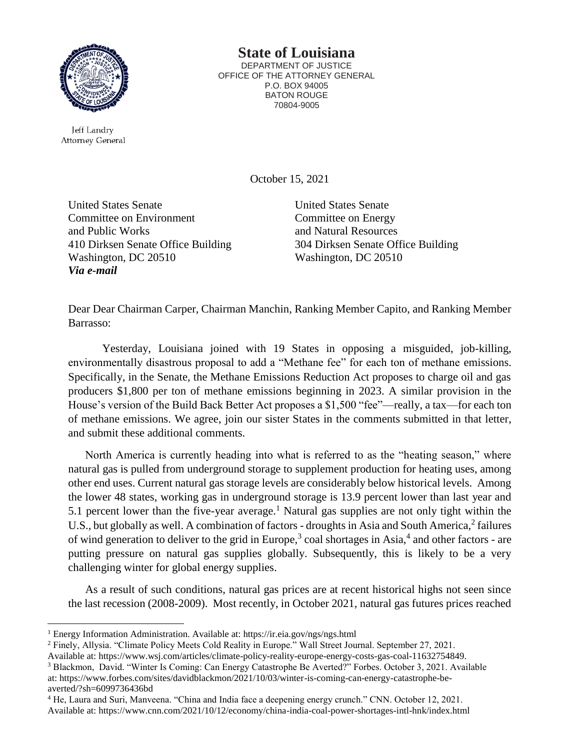

Jeff Landry Attorney General

 $\ddot{\phantom{a}}$ 

## **State of Louisiana**

DEPARTMENT OF JUSTICE OFFICE OF THE ATTORNEY GENERAL P.O. BOX 94005 BATON ROUGE 70804-9005

October 15, 2021

United States Senate Committee on Environment and Public Works 410 Dirksen Senate Office Building Washington, DC 20510 *Via e-mail*

United States Senate Committee on Energy and Natural Resources 304 Dirksen Senate Office Building Washington, DC 20510

Dear Dear Chairman Carper, Chairman Manchin, Ranking Member Capito, and Ranking Member Barrasso:

Yesterday, Louisiana joined with 19 States in opposing a misguided, job-killing, environmentally disastrous proposal to add a "Methane fee" for each ton of methane emissions. Specifically, in the Senate, the Methane Emissions Reduction Act proposes to charge oil and gas producers \$1,800 per ton of methane emissions beginning in 2023. A similar provision in the House's version of the Build Back Better Act proposes a \$1,500 "fee"—really, a tax—for each ton of methane emissions. We agree, join our sister States in the comments submitted in that letter, and submit these additional comments.

North America is currently heading into what is referred to as the "heating season," where natural gas is pulled from underground storage to supplement production for heating uses, among other end uses. Current natural gas storage levels are considerably below historical levels. Among the lower 48 states, working gas in underground storage is 13.9 percent lower than last year and 5.1 percent lower than the five-year average.<sup>1</sup> Natural gas supplies are not only tight within the U.S., but globally as well. A combination of factors - droughts in Asia and South America,<sup>2</sup> failures of wind generation to deliver to the grid in Europe,<sup>3</sup> coal shortages in Asia,<sup>4</sup> and other factors - are putting pressure on natural gas supplies globally. Subsequently, this is likely to be a very challenging winter for global energy supplies.

As a result of such conditions, natural gas prices are at recent historical highs not seen since the last recession (2008-2009). Most recently, in October 2021, natural gas futures prices reached

<sup>3</sup> Blackmon, David. "Winter Is Coming: Can Energy Catastrophe Be Averted?" Forbes. October 3, 2021. Available at: https://www.forbes.com/sites/davidblackmon/2021/10/03/winter-is-coming-can-energy-catastrophe-beaverted/?sh=6099736436bd

<sup>1</sup> Energy Information Administration. Available at: https://ir.eia.gov/ngs/ngs.html

<sup>2</sup> Finely, Allysia. "Climate Policy Meets Cold Reality in Europe." Wall Street Journal. September 27, 2021.

Available at: https://www.wsj.com/articles/climate-policy-reality-europe-energy-costs-gas-coal-11632754849.

<sup>4</sup> He, Laura and Suri, Manveena. "China and India face a deepening energy crunch." CNN. October 12, 2021. Available at: https://www.cnn.com/2021/10/12/economy/china-india-coal-power-shortages-intl-hnk/index.html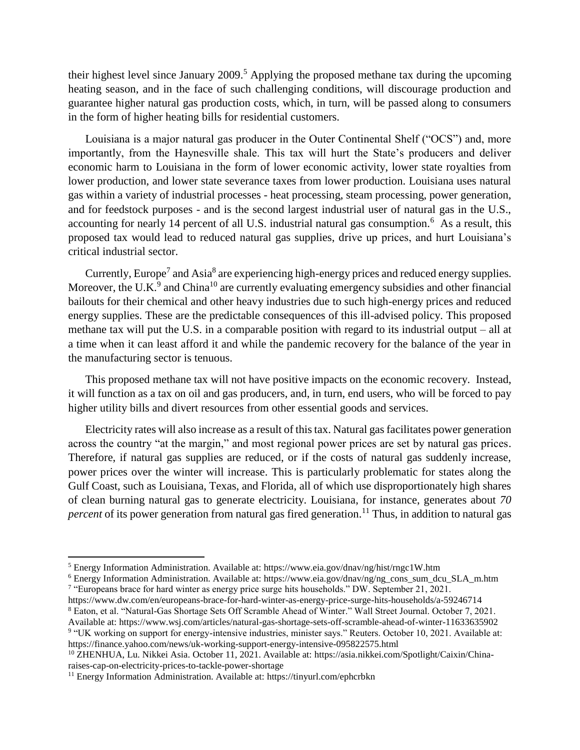their highest level since January 2009.<sup>5</sup> Applying the proposed methane tax during the upcoming heating season, and in the face of such challenging conditions, will discourage production and guarantee higher natural gas production costs, which, in turn, will be passed along to consumers in the form of higher heating bills for residential customers.

Louisiana is a major natural gas producer in the Outer Continental Shelf ("OCS") and, more importantly, from the Haynesville shale. This tax will hurt the State's producers and deliver economic harm to Louisiana in the form of lower economic activity, lower state royalties from lower production, and lower state severance taxes from lower production. Louisiana uses natural gas within a variety of industrial processes - heat processing, steam processing, power generation, and for feedstock purposes - and is the second largest industrial user of natural gas in the U.S., accounting for nearly 14 percent of all U.S. industrial natural gas consumption.<sup>6</sup> As a result, this proposed tax would lead to reduced natural gas supplies, drive up prices, and hurt Louisiana's critical industrial sector.

Currently, Europe<sup>7</sup> and Asia<sup>8</sup> are experiencing high-energy prices and reduced energy supplies. Moreover, the U.K. $9$  and China<sup>10</sup> are currently evaluating emergency subsidies and other financial bailouts for their chemical and other heavy industries due to such high-energy prices and reduced energy supplies. These are the predictable consequences of this ill-advised policy. This proposed methane tax will put the U.S. in a comparable position with regard to its industrial output – all at a time when it can least afford it and while the pandemic recovery for the balance of the year in the manufacturing sector is tenuous.

This proposed methane tax will not have positive impacts on the economic recovery. Instead, it will function as a tax on oil and gas producers, and, in turn, end users, who will be forced to pay higher utility bills and divert resources from other essential goods and services.

Electricity rates will also increase as a result of this tax. Natural gas facilitates power generation across the country "at the margin," and most regional power prices are set by natural gas prices. Therefore, if natural gas supplies are reduced, or if the costs of natural gas suddenly increase, power prices over the winter will increase. This is particularly problematic for states along the Gulf Coast, such as Louisiana, Texas, and Florida, all of which use disproportionately high shares of clean burning natural gas to generate electricity. Louisiana, for instance, generates about *70 percent* of its power generation from natural gas fired generation.<sup>11</sup> Thus, in addition to natural gas

https://www.dw.com/en/europeans-brace-for-hard-winter-as-energy-price-surge-hits-households/a-59246714 <sup>8</sup> Eaton, et al. "Natural-Gas Shortage Sets Off Scramble Ahead of Winter." Wall Street Journal. October 7, 2021.

l

<sup>5</sup> Energy Information Administration. Available at: https://www.eia.gov/dnav/ng/hist/rngc1W.htm

<sup>6</sup> Energy Information Administration. Available at: https://www.eia.gov/dnav/ng/ng\_cons\_sum\_dcu\_SLA\_m.htm 7 "Europeans brace for hard winter as energy price surge hits households." DW. September 21, 2021.

Available at: https://www.wsj.com/articles/natural-gas-shortage-sets-off-scramble-ahead-of-winter-11633635902 9 "UK working on support for energy-intensive industries, minister says." Reuters. October 10, 2021. Available at: https://finance.yahoo.com/news/uk-working-support-energy-intensive-095822575.html

<sup>10</sup> ZHENHUA, Lu. Nikkei Asia. October 11, 2021. Available at: https://asia.nikkei.com/Spotlight/Caixin/Chinaraises-cap-on-electricity-prices-to-tackle-power-shortage

<sup>&</sup>lt;sup>11</sup> Energy Information Administration. Available at: https://tinyurl.com/ephcrbkn